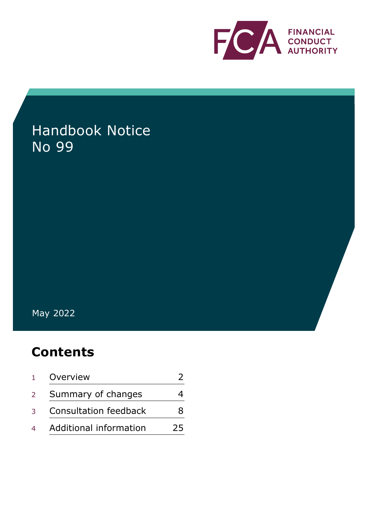

# Handbook Notice No 99

May 2022

## **Contents**

| 1              | Overview                     |    |
|----------------|------------------------------|----|
| $2^{\circ}$    | Summary of changes           |    |
| 3              | <b>Consultation feedback</b> | 8  |
| $\overline{4}$ | Additional information       | 25 |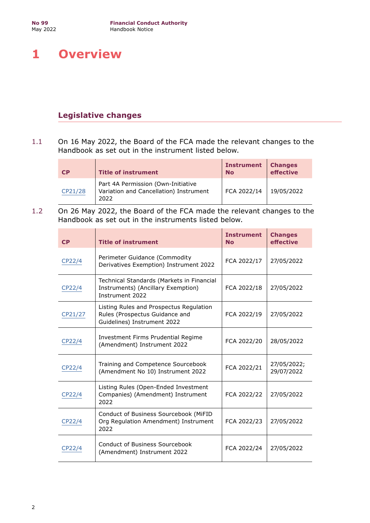## <span id="page-1-0"></span>**1 Overview**

## **Legislative changes**

1.1 On 16 May 2022, the Board of the FCA made the relevant changes to the Handbook as set out in the instrument listed below.

| <b>CP</b> | <b>Title of instrument</b>                                                           | <b>Instrument</b><br><b>No</b> | <b>Changes</b><br>effective |
|-----------|--------------------------------------------------------------------------------------|--------------------------------|-----------------------------|
| CP21/28   | Part 4A Permission (Own-Initiative<br>Variation and Cancellation) Instrument<br>2022 | FCA 2022/14                    | 19/05/2022                  |

1.2 On 26 May 2022, the Board of the FCA made the relevant changes to the Handbook as set out in the instruments listed below.

| CP                                                                                          | <b>Title of instrument</b>                                                                                              | <b>Instrument</b><br><b>No</b> | <b>Changes</b><br>effective |
|---------------------------------------------------------------------------------------------|-------------------------------------------------------------------------------------------------------------------------|--------------------------------|-----------------------------|
| CP22/4                                                                                      | Perimeter Guidance (Commodity<br>Derivatives Exemption) Instrument 2022                                                 | FCA 2022/17                    | 27/05/2022                  |
| CP22/4                                                                                      | Technical Standards (Markets in Financial<br>Instruments) (Ancillary Exemption)<br>Instrument 2022                      | FCA 2022/18                    | 27/05/2022                  |
| CP21/27                                                                                     | Listing Rules and Prospectus Regulation<br>Rules (Prospectus Guidance and<br>FCA 2022/19<br>Guidelines) Instrument 2022 |                                | 27/05/2022                  |
| CP22/4                                                                                      | Investment Firms Prudential Regime<br>(Amendment) Instrument 2022                                                       | FCA 2022/20                    | 28/05/2022                  |
| CP22/4                                                                                      | Training and Competence Sourcebook<br>(Amendment No 10) Instrument 2022                                                 | FCA 2022/21                    | 27/05/2022;<br>29/07/2022   |
| Listing Rules (Open-Ended Investment<br>Companies) (Amendment) Instrument<br>CP22/4<br>2022 |                                                                                                                         | FCA 2022/22                    | 27/05/2022                  |
| CP22/4                                                                                      | Conduct of Business Sourcebook (MiFID<br>Org Regulation Amendment) Instrument<br>2022                                   | FCA 2022/23                    | 27/05/2022                  |
| CP22/4                                                                                      | Conduct of Business Sourcebook<br>(Amendment) Instrument 2022                                                           | FCA 2022/24                    | 27/05/2022                  |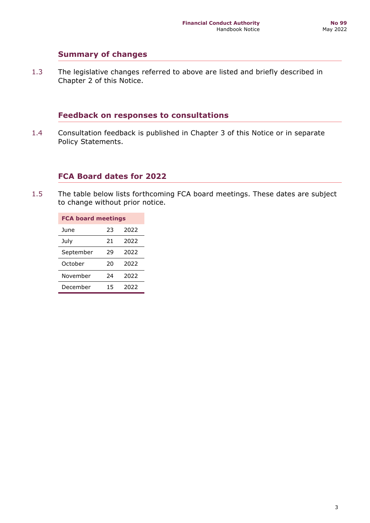## **Summary of changes**

1.3 The legislative changes referred to above are listed and briefly described in Chapter 2 of this Notice.

## **Feedback on responses to consultations**

1.4 Consultation feedback is published in Chapter 3 of this Notice or in separate Policy Statements.

## **FCA Board dates for 2022**

1.5 The table below lists forthcoming FCA board meetings. These dates are subject to change without prior notice.

| <b>FCA board meetings</b> |    |      |  |  |  |
|---------------------------|----|------|--|--|--|
| June                      | 23 | 2022 |  |  |  |
| July                      | 21 | 2022 |  |  |  |
| September                 | 29 | 2022 |  |  |  |
| October                   | 20 | 2022 |  |  |  |
| November                  | 24 | 2022 |  |  |  |
| December                  | 15 | 2022 |  |  |  |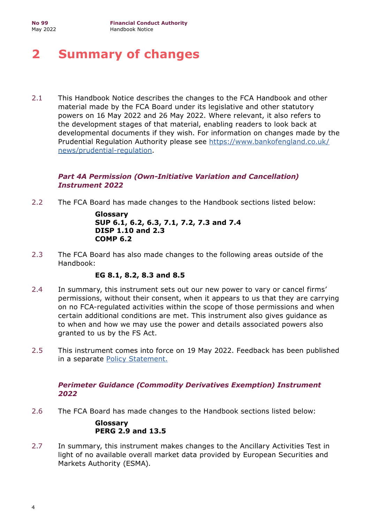## <span id="page-3-0"></span>**2 Summary of changes**

2.1 This Handbook Notice describes the changes to the FCA Handbook and other material made by the FCA Board under its legislative and other statutory powers on 16 May 2022 and 26 May 2022. Where relevant, it also refers to the development stages of that material, enabling readers to look back at developmental documents if they wish. For information on changes made by the Prudential Regulation Authority please see [https://www.bankofengland.co.uk/](https://www.bankofengland.co.uk/news/prudential-regulation) [news/prudential-regulation.](https://www.bankofengland.co.uk/news/prudential-regulation)

## *Part 4A Permission (Own-Initiative Variation and Cancellation) Instrument 2022*

2.2 The FCA Board has made changes to the Handbook sections listed below:

**Glossary SUP 6.1, 6.2, 6.3, 7.1, 7.2, 7.3 and 7.4 DISP 1.10 and 2.3 COMP 6.2**

2.3 The FCA Board has also made changes to the following areas outside of the Handbook:

## **EG 8.1, 8.2, 8.3 and 8.5**

- 2.4 In summary, this instrument sets out our new power to vary or cancel firms' permissions, without their consent, when it appears to us that they are carrying on no FCA-regulated activities within the scope of those permissions and when certain additional conditions are met. This instrument also gives guidance as to when and how we may use the power and details associated powers also granted to us by the FS Act.
- 2.5 This instrument comes into force on 19 May 2022. Feedback has been published in a separate [Policy Statement.](https://www.fca.org.uk/publication/policy/ps22-5.pdf)

## *Perimeter Guidance (Commodity Derivatives Exemption) Instrument 2022*

2.6 The FCA Board has made changes to the Handbook sections listed below:

#### **Glossary PERG 2.9 and 13.5**

2.7 In summary, this instrument makes changes to the Ancillary Activities Test in light of no available overall market data provided by European Securities and Markets Authority (ESMA).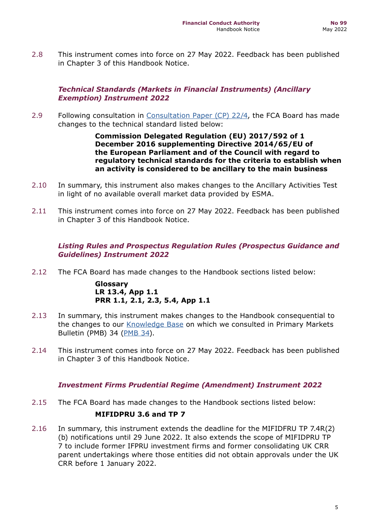2.8 This instrument comes into force on 27 May 2022. Feedback has been published in Chapter 3 of this Handbook Notice.

## *Technical Standards (Markets in Financial Instruments) (Ancillary Exemption) Instrument 2022*

2.9 Following consultation in [Consultation Paper \(CP\) 22/4](https://www.fca.org.uk/publication/consultation/cp22-4.pdf), the FCA Board has made changes to the technical standard listed below:

> **Commission Delegated Regulation (EU) 2017/592 of 1 December 2016 supplementing Directive 2014/65/EU of the European Parliament and of the Council with regard to regulatory technical standards for the criteria to establish when an activity is considered to be ancillary to the main business**

- 2.10 In summary, this instrument also makes changes to the Ancillary Activities Test in light of no available overall market data provided by ESMA.
- 2.11 This instrument comes into force on 27 May 2022. Feedback has been published in Chapter 3 of this Handbook Notice.

## *Listing Rules and Prospectus Regulation Rules (Prospectus Guidance and Guidelines) Instrument 2022*

2.12 The FCA Board has made changes to the Handbook sections listed below:

**Glossary LR 13.4, App 1.1 PRR 1.1, 2.1, 2.3, 5.4, App 1.1**

- 2.13 In summary, this instrument makes changes to the Handbook consequential to the changes to our [Knowledge Base](https://www.fca.org.uk/markets/primary-markets/knowledge-base) on which we consulted in Primary Markets Bulletin (PMB) 34 [\(PMB 34](https://www.fca.org.uk/publications/newsletters/primary-market-bulletin-34)).
- 2.14 This instrument comes into force on 27 May 2022. Feedback has been published in Chapter 3 of this Handbook Notice.

## *Investment Firms Prudential Regime (Amendment) Instrument 2022*

- 2.15 The FCA Board has made changes to the Handbook sections listed below: **MIFIDPRU 3.6 and TP 7**
- 2.16 In summary, this instrument extends the deadline for the MIFIDFRU TP 7.4R(2) (b) notifications until 29 June 2022. It also extends the scope of MIFIDPRU TP 7 to include former IFPRU investment firms and former consolidating UK CRR parent undertakings where those entities did not obtain approvals under the UK CRR before 1 January 2022.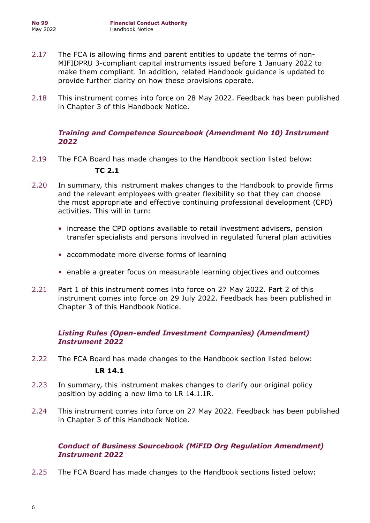- 2.17 The FCA is allowing firms and parent entities to update the terms of non-MIFIDPRU 3-compliant capital instruments issued before 1 January 2022 to make them compliant. In addition, related Handbook guidance is updated to provide further clarity on how these provisions operate.
- 2.18 This instrument comes into force on 28 May 2022. Feedback has been published in Chapter 3 of this Handbook Notice.

#### *Training and Competence Sourcebook (Amendment No 10) Instrument 2022*

2.19 The FCA Board has made changes to the Handbook section listed below:

#### **TC 2.1**

- 2.20 In summary, this instrument makes changes to the Handbook to provide firms and the relevant employees with greater flexibility so that they can choose the most appropriate and effective continuing professional development (CPD) activities. This will in turn:
	- increase the CPD options available to retail investment advisers, pension transfer specialists and persons involved in regulated funeral plan activities
	- accommodate more diverse forms of learning
	- enable a greater focus on measurable learning objectives and outcomes
- 2.21 Part 1 of this instrument comes into force on 27 May 2022. Part 2 of this instrument comes into force on 29 July 2022. Feedback has been published in Chapter 3 of this Handbook Notice.

## *Listing Rules (Open-ended Investment Companies) (Amendment) Instrument 2022*

- 2.22 The FCA Board has made changes to the Handbook section listed below: **LR 14.1**
- 2.23 In summary, this instrument makes changes to clarify our original policy position by adding a new limb to LR 14.1.1R.
- 2.24 This instrument comes into force on 27 May 2022. Feedback has been published in Chapter 3 of this Handbook Notice.

## *Conduct of Business Sourcebook (MiFID Org Regulation Amendment) Instrument 2022*

2.25 The FCA Board has made changes to the Handbook sections listed below: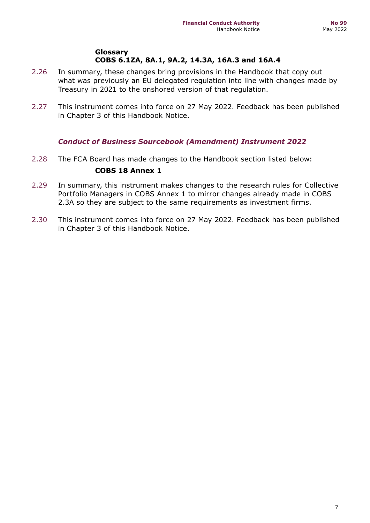#### **Glossary COBS 6.1ZA, 8A.1, 9A.2, 14.3A, 16A.3 and 16A.4**

- 2.26 In summary, these changes bring provisions in the Handbook that copy out what was previously an EU delegated regulation into line with changes made by Treasury in 2021 to the onshored version of that regulation.
- 2.27 This instrument comes into force on 27 May 2022. Feedback has been published in Chapter 3 of this Handbook Notice.

## *Conduct of Business Sourcebook (Amendment) Instrument 2022*

2.28 The FCA Board has made changes to the Handbook section listed below:

#### **COBS 18 Annex 1**

- 2.29 In summary, this instrument makes changes to the research rules for Collective Portfolio Managers in COBS Annex 1 to mirror changes already made in COBS 2.3A so they are subject to the same requirements as investment firms.
- 2.30 This instrument comes into force on 27 May 2022. Feedback has been published in Chapter 3 of this Handbook Notice.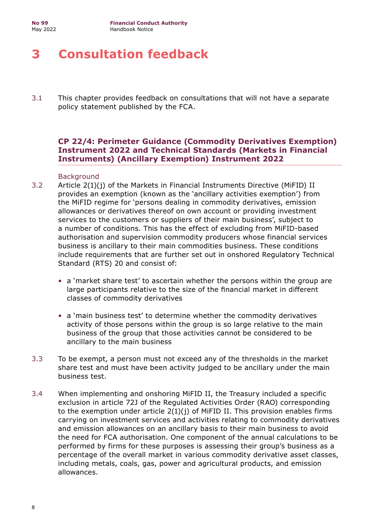## <span id="page-7-0"></span>**3 Consultation feedback**

3.1 This chapter provides feedback on consultations that will not have a separate policy statement published by the FCA.

## **CP 22/4: Perimeter Guidance (Commodity Derivatives Exemption) Instrument 2022 and Technical Standards (Markets in Financial Instruments) (Ancillary Exemption) Instrument 2022**

#### Background

- 3.2 Article 2(1)(j) of the Markets in Financial Instruments Directive (MiFID) II provides an exemption (known as the 'ancillary activities exemption') from the MiFID regime for 'persons dealing in commodity derivatives, emission allowances or derivatives thereof on own account or providing investment services to the customers or suppliers of their main business', subject to a number of conditions. This has the effect of excluding from MiFID-based authorisation and supervision commodity producers whose financial services business is ancillary to their main commodities business. These conditions include requirements that are further set out in onshored Regulatory Technical Standard (RTS) 20 and consist of:
	- a 'market share test' to ascertain whether the persons within the group are large participants relative to the size of the financial market in different classes of commodity derivatives
	- a 'main business test' to determine whether the commodity derivatives activity of those persons within the group is so large relative to the main business of the group that those activities cannot be considered to be ancillary to the main business
- 3.3 To be exempt, a person must not exceed any of the thresholds in the market share test and must have been activity judged to be ancillary under the main business test.
- 3.4 When implementing and onshoring MiFID II, the Treasury included a specific exclusion in article 72J of the Regulated Activities Order (RAO) corresponding to the exemption under article 2(1)(j) of MiFID II. This provision enables firms carrying on investment services and activities relating to commodity derivatives and emission allowances on an ancillary basis to their main business to avoid the need for FCA authorisation. One component of the annual calculations to be performed by firms for these purposes is assessing their group's business as a percentage of the overall market in various commodity derivative asset classes, including metals, coals, gas, power and agricultural products, and emission allowances.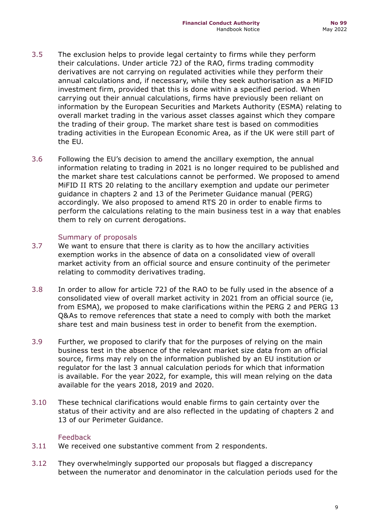- 3.5 The exclusion helps to provide legal certainty to firms while they perform their calculations. Under article 72J of the RAO, firms trading commodity derivatives are not carrying on regulated activities while they perform their annual calculations and, if necessary, while they seek authorisation as a MiFID investment firm, provided that this is done within a specified period. When carrying out their annual calculations, firms have previously been reliant on information by the European Securities and Markets Authority (ESMA) relating to overall market trading in the various asset classes against which they compare the trading of their group. The market share test is based on commodities trading activities in the European Economic Area, as if the UK were still part of the EU.
- 3.6 Following the EU's decision to amend the ancillary exemption, the annual information relating to trading in 2021 is no longer required to be published and the market share test calculations cannot be performed. We proposed to amend MiFID II RTS 20 relating to the ancillary exemption and update our perimeter guidance in chapters 2 and 13 of the Perimeter Guidance manual (PERG) accordingly. We also proposed to amend RTS 20 in order to enable firms to perform the calculations relating to the main business test in a way that enables them to rely on current derogations.

#### Summary of proposals

- 3.7 We want to ensure that there is clarity as to how the ancillary activities exemption works in the absence of data on a consolidated view of overall market activity from an official source and ensure continuity of the perimeter relating to commodity derivatives trading.
- 3.8 In order to allow for article 72J of the RAO to be fully used in the absence of a consolidated view of overall market activity in 2021 from an official source (ie, from ESMA), we proposed to make clarifications within the PERG 2 and PERG 13 Q&As to remove references that state a need to comply with both the market share test and main business test in order to benefit from the exemption.
- 3.9 Further, we proposed to clarify that for the purposes of relying on the main business test in the absence of the relevant market size data from an official source, firms may rely on the information published by an EU institution or regulator for the last 3 annual calculation periods for which that information is available. For the year 2022, for example, this will mean relying on the data available for the years 2018, 2019 and 2020.
- 3.10 These technical clarifications would enable firms to gain certainty over the status of their activity and are also reflected in the updating of chapters 2 and 13 of our Perimeter Guidance.

#### Feedback

- 3.11 We received one substantive comment from 2 respondents.
- 3.12 They overwhelmingly supported our proposals but flagged a discrepancy between the numerator and denominator in the calculation periods used for the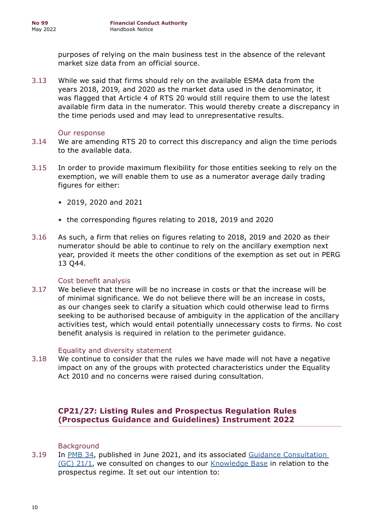purposes of relying on the main business test in the absence of the relevant market size data from an official source.

3.13 While we said that firms should rely on the available ESMA data from the years 2018, 2019, and 2020 as the market data used in the denominator, it was flagged that Article 4 of RTS 20 would still require them to use the latest available firm data in the numerator. This would thereby create a discrepancy in the time periods used and may lead to unrepresentative results.

#### Our response

- 3.14 We are amending RTS 20 to correct this discrepancy and align the time periods to the available data.
- 3.15 In order to provide maximum flexibility for those entities seeking to rely on the exemption, we will enable them to use as a numerator average daily trading figures for either:
	- 2019, 2020 and 2021
	- the corresponding figures relating to 2018, 2019 and 2020
- 3.16 As such, a firm that relies on figures relating to 2018, 2019 and 2020 as their numerator should be able to continue to rely on the ancillary exemption next year, provided it meets the other conditions of the exemption as set out in PERG 13 Q44.

#### Cost benefit analysis

3.17 We believe that there will be no increase in costs or that the increase will be of minimal significance. We do not believe there will be an increase in costs, as our changes seek to clarify a situation which could otherwise lead to firms seeking to be authorised because of ambiguity in the application of the ancillary activities test, which would entail potentially unnecessary costs to firms. No cost benefit analysis is required in relation to the perimeter guidance.

#### Equality and diversity statement

3.18 We continue to consider that the rules we have made will not have a negative impact on any of the groups with protected characteristics under the Equality Act 2010 and no concerns were raised during consultation.

## **CP21/27: Listing Rules and Prospectus Regulation Rules (Prospectus Guidance and Guidelines) Instrument 2022**

**Background** 

3.19 In [PMB 34,](https://www.fca.org.uk/publications/newsletters/primary-market-bulletin-34) published in June 2021, and its associated [Guidance Consultation](https://www.fca.org.uk/publications/guidance-consultations/gc21-1-primary-market-bulletin-no-34)  [\(GC\) 21/1,](https://www.fca.org.uk/publications/guidance-consultations/gc21-1-primary-market-bulletin-no-34) we consulted on changes to our [Knowledge Base](https://www.fca.org.uk/markets/primary-markets/knowledge-base) in relation to the prospectus regime. It set out our intention to: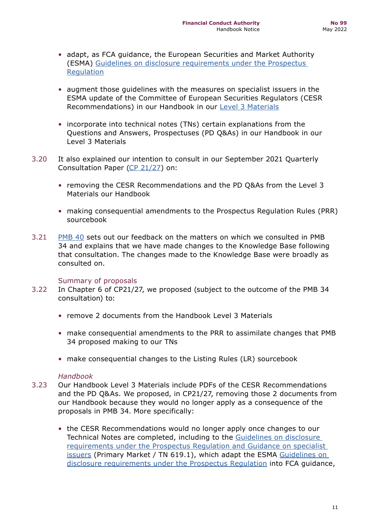- adapt, as FCA guidance, the European Securities and Market Authority (ESMA) [Guidelines on disclosure requirements under the Prospectus](https://www.esma.europa.eu/sites/default/files/library/esma32-382-1138_guidelines_on_disclosure_requirements_under_the_prospectus_regulation.pdf)  [Regulation](https://www.esma.europa.eu/sites/default/files/library/esma32-382-1138_guidelines_on_disclosure_requirements_under_the_prospectus_regulation.pdf)
- augment those guidelines with the measures on specialist issuers in the ESMA update of the Committee of European Securities Regulators (CESR Recommendations) in our Handbook in our [Level 3 Materials](https://www.handbook.fca.org.uk/document/l3g)
- incorporate into technical notes (TNs) certain explanations from the Questions and Answers, Prospectuses (PD Q&As) in our Handbook in our Level 3 Materials
- 3.20 It also explained our intention to consult in our September 2021 Quarterly Consultation Paper [\(CP 21/27\)](https://www.fca.org.uk/publication/consultation/cp21-27.pdf) on:
	- removing the CESR Recommendations and the PD Q&As from the Level 3 Materials our Handbook
	- making consequential amendments to the Prospectus Regulation Rules (PRR) sourcebook
- 3.21 [PMB 40](https://www.fca.org.uk/publications/newsletters/primary-market-bulletin-40) sets out our feedback on the matters on which we consulted in PMB 34 and explains that we have made changes to the Knowledge Base following that consultation. The changes made to the Knowledge Base were broadly as consulted on.

#### Summary of proposals

- 3.22 In Chapter 6 of CP21/27, we proposed (subject to the outcome of the PMB 34 consultation) to:
	- remove 2 documents from the Handbook Level 3 Materials
	- make consequential amendments to the PRR to assimilate changes that PMB 34 proposed making to our TNs
	- make consequential changes to the Listing Rules (LR) sourcebook

#### *Handbook*

- 3.23 Our Handbook Level 3 Materials include PDFs of the CESR Recommendations and the PD Q&As. We proposed, in CP21/27, removing those 2 documents from our Handbook because they would no longer apply as a consequence of the proposals in PMB 34. More specifically:
	- the CESR Recommendations would no longer apply once changes to our Technical Notes are completed, including to the [Guidelines on disclosure](https://www.fca.org.uk/publication/primary-market/tn-619-1.pdf)  [requirements under the Prospectus Regulation and Guidance on specialist](https://www.fca.org.uk/publication/primary-market/tn-619-1.pdf)  [issuers](https://www.fca.org.uk/publication/primary-market/tn-619-1.pdf) (Primary Market / TN 619.1), which adapt the ESMA [Guidelines on](https://www.esma.europa.eu/sites/default/files/library/esma32-382-1138_guidelines_on_disclosure_requirements_under_the_prospectus_regulation.pdf)  [disclosure requirements under the Prospectus Regulation](https://www.esma.europa.eu/sites/default/files/library/esma32-382-1138_guidelines_on_disclosure_requirements_under_the_prospectus_regulation.pdf) into FCA guidance,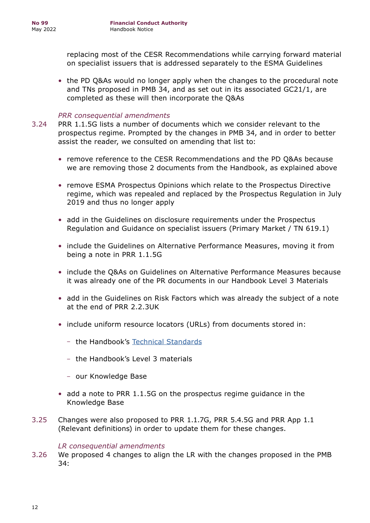replacing most of the CESR Recommendations while carrying forward material on specialist issuers that is addressed separately to the ESMA Guidelines

• the PD Q&As would no longer apply when the changes to the procedural note and TNs proposed in PMB 34, and as set out in its associated GC21/1, are completed as these will then incorporate the Q&As

## *PRR consequential amendments*

- 3.24 PRR 1.1.5G lists a number of documents which we consider relevant to the prospectus regime. Prompted by the changes in PMB 34, and in order to better assist the reader, we consulted on amending that list to:
	- remove reference to the CESR Recommendations and the PD Q&As because we are removing those 2 documents from the Handbook, as explained above
	- remove ESMA Prospectus Opinions which relate to the Prospectus Directive regime, which was repealed and replaced by the Prospectus Regulation in July 2019 and thus no longer apply
	- add in the Guidelines on disclosure requirements under the Prospectus Regulation and Guidance on specialist issuers (Primary Market / TN 619.1)
	- include the Guidelines on Alternative Performance Measures, moving it from being a note in PRR 1.1.5G
	- include the Q&As on Guidelines on Alternative Performance Measures because it was already one of the PR documents in our Handbook Level 3 Materials
	- add in the Guidelines on Risk Factors which was already the subject of a note at the end of PRR 2.2.3UK
	- include uniform resource locators (URLs) from documents stored in:
		- the Handbook's [Technical Standards](https://www.handbook.fca.org.uk/techstandards/PD/2019/reg_2019_979_oj/?view=chapter)
		- the Handbook's Level 3 materials
		- our Knowledge Base
	- add a note to PRR 1.1.5G on the prospectus regime guidance in the Knowledge Base
- 3.25 Changes were also proposed to PRR 1.1.7G, PRR 5.4.5G and PRR App 1.1 (Relevant definitions) in order to update them for these changes.

#### *LR consequential amendments*

3.26 We proposed 4 changes to align the LR with the changes proposed in the PMB 34: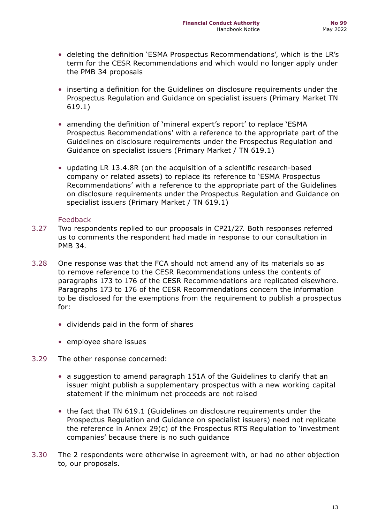- deleting the definition 'ESMA Prospectus Recommendations', which is the LR's term for the CESR Recommendations and which would no longer apply under the PMB 34 proposals
- inserting a definition for the Guidelines on disclosure requirements under the Prospectus Regulation and Guidance on specialist issuers (Primary Market TN 619.1)
- amending the definition of 'mineral expert's report' to replace 'ESMA Prospectus Recommendations' with a reference to the appropriate part of the Guidelines on disclosure requirements under the Prospectus Regulation and Guidance on specialist issuers (Primary Market / TN 619.1)
- updating LR 13.4.8R (on the acquisition of a scientific research-based company or related assets) to replace its reference to 'ESMA Prospectus Recommendations' with a reference to the appropriate part of the Guidelines on disclosure requirements under the Prospectus Regulation and Guidance on specialist issuers (Primary Market / TN 619.1)

#### Feedback

- 3.27 Two respondents replied to our proposals in CP21/27. Both responses referred us to comments the respondent had made in response to our consultation in PMB 34.
- 3.28 One response was that the FCA should not amend any of its materials so as to remove reference to the CESR Recommendations unless the contents of paragraphs 173 to 176 of the CESR Recommendations are replicated elsewhere. Paragraphs 173 to 176 of the CESR Recommendations concern the information to be disclosed for the exemptions from the requirement to publish a prospectus for:
	- dividends paid in the form of shares
	- employee share issues
- 3.29 The other response concerned:
	- a suggestion to amend paragraph 151A of the Guidelines to clarify that an issuer might publish a supplementary prospectus with a new working capital statement if the minimum net proceeds are not raised
	- the fact that TN 619.1 (Guidelines on disclosure requirements under the Prospectus Regulation and Guidance on specialist issuers) need not replicate the reference in Annex 29(c) of the Prospectus RTS Regulation to 'investment companies' because there is no such guidance
- 3.30 The 2 respondents were otherwise in agreement with, or had no other objection to, our proposals.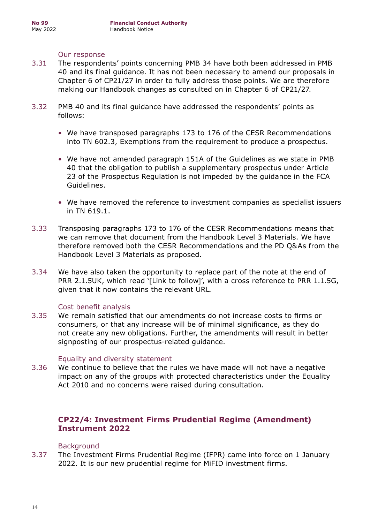#### Our response

- 3.31 The respondents' points concerning PMB 34 have both been addressed in PMB 40 and its final guidance. It has not been necessary to amend our proposals in Chapter 6 of CP21/27 in order to fully address those points. We are therefore making our Handbook changes as consulted on in Chapter 6 of CP21/27.
- 3.32 PMB 40 and its final guidance have addressed the respondents' points as follows:
	- We have transposed paragraphs 173 to 176 of the CESR Recommendations into TN 602.3, Exemptions from the requirement to produce a prospectus.
	- We have not amended paragraph 151A of the Guidelines as we state in PMB 40 that the obligation to publish a supplementary prospectus under Article 23 of the Prospectus Regulation is not impeded by the guidance in the FCA Guidelines.
	- We have removed the reference to investment companies as specialist issuers in TN 619.1.
- 3.33 Transposing paragraphs 173 to 176 of the CESR Recommendations means that we can remove that document from the Handbook Level 3 Materials. We have therefore removed both the CESR Recommendations and the PD Q&As from the Handbook Level 3 Materials as proposed.
- 3.34 We have also taken the opportunity to replace part of the note at the end of PRR 2.1.5UK, which read '[Link to follow]', with a cross reference to PRR 1.1.5G, given that it now contains the relevant URL.

#### Cost benefit analysis

3.35 We remain satisfied that our amendments do not increase costs to firms or consumers, or that any increase will be of minimal significance, as they do not create any new obligations. Further, the amendments will result in better signposting of our prospectus-related guidance.

#### Equality and diversity statement

3.36 We continue to believe that the rules we have made will not have a negative impact on any of the groups with protected characteristics under the Equality Act 2010 and no concerns were raised during consultation.

## **CP22/4: Investment Firms Prudential Regime (Amendment) Instrument 2022**

#### **Background**

3.37 The Investment Firms Prudential Regime (IFPR) came into force on 1 January 2022. It is our new prudential regime for MiFID investment firms.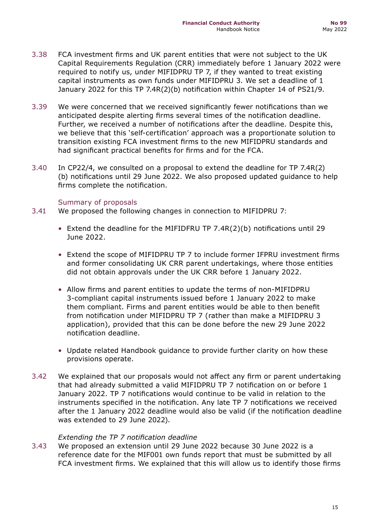- 3.38 FCA investment firms and UK parent entities that were not subject to the UK Capital Requirements Regulation (CRR) immediately before 1 January 2022 were required to notify us, under MIFIDPRU TP 7, if they wanted to treat existing capital instruments as own funds under MIFIDPRU 3. We set a deadline of 1 January 2022 for this TP 7.4R(2)(b) notification within Chapter 14 of PS21/9.
- 3.39 We were concerned that we received significantly fewer notifications than we anticipated despite alerting firms several times of the notification deadline. Further, we received a number of notifications after the deadline. Despite this, we believe that this 'self-certification' approach was a proportionate solution to transition existing FCA investment firms to the new MIFIDPRU standards and had significant practical benefits for firms and for the FCA.
- 3.40 In CP22/4, we consulted on a proposal to extend the deadline for TP 7.4R(2) (b) notifications until 29 June 2022. We also proposed updated guidance to help firms complete the notification.

#### Summary of proposals

- 3.41 We proposed the following changes in connection to MIFIDPRU 7:
	- Extend the deadline for the MIFIDFRU TP 7.4R(2)(b) notifications until 29 June 2022.
	- Extend the scope of MIFIDPRU TP 7 to include former IFPRU investment firms and former consolidating UK CRR parent undertakings, where those entities did not obtain approvals under the UK CRR before 1 January 2022.
	- Allow firms and parent entities to update the terms of non-MIFIDPRU 3-compliant capital instruments issued before 1 January 2022 to make them compliant. Firms and parent entities would be able to then benefit from notification under MIFIDPRU TP 7 (rather than make a MIFIDPRU 3 application), provided that this can be done before the new 29 June 2022 notification deadline.
	- Update related Handbook guidance to provide further clarity on how these provisions operate.
- 3.42 We explained that our proposals would not affect any firm or parent undertaking that had already submitted a valid MIFIDPRU TP 7 notification on or before 1 January 2022. TP 7 notifications would continue to be valid in relation to the instruments specified in the notification. Any late TP 7 notifications we received after the 1 January 2022 deadline would also be valid (if the notification deadline was extended to 29 June 2022).

#### *Extending the TP 7 notification deadline*

3.43 We proposed an extension until 29 June 2022 because 30 June 2022 is a reference date for the MIF001 own funds report that must be submitted by all FCA investment firms. We explained that this will allow us to identify those firms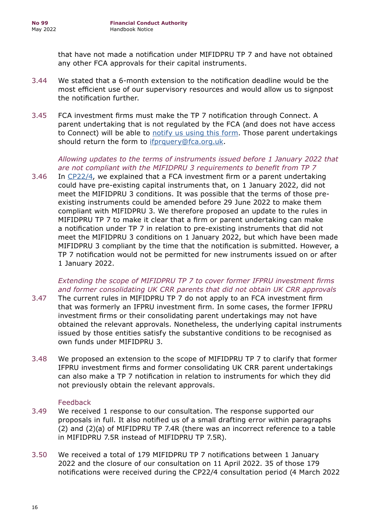that have not made a notification under MIFIDPRU TP 7 and have not obtained any other FCA approvals for their capital instruments.

- 3.44 We stated that a 6-month extension to the notification deadline would be the most efficient use of our supervisory resources and would allow us to signpost the notification further.
- 3.45 FCA investment firms must make the TP 7 notification through Connect. A parent undertaking that is not regulated by the FCA (and does not have access to Connect) will be able to [notify us using this form](https://content.govdelivery.com/attachments/UKFCA/2021/12/21/file_attachments/2028591/mifidpru%20notification%20tp-7-4r2b.docx). Those parent undertakings should return the form to ifprauery@fca.org.uk.

#### *Allowing updates to the terms of instruments issued before 1 January 2022 that are not compliant with the MIFIDPRU 3 requirements to benefit from TP 7*

3.46 In [CP22/4](https://www.fca.org.uk/publication/consultation/cp22-4.pdf), we explained that a FCA investment firm or a parent undertaking could have pre-existing capital instruments that, on 1 January 2022, did not meet the MIFIDPRU 3 conditions. It was possible that the terms of those preexisting instruments could be amended before 29 June 2022 to make them compliant with MIFIDPRU 3. We therefore proposed an update to the rules in MIFIDPRU TP 7 to make it clear that a firm or parent undertaking can make a notification under TP 7 in relation to pre-existing instruments that did not meet the MIFIDPRU 3 conditions on 1 January 2022, but which have been made MIFIDPRU 3 compliant by the time that the notification is submitted. However, a TP 7 notification would not be permitted for new instruments issued on or after 1 January 2022.

## *Extending the scope of MIFIDPRU TP 7 to cover former IFPRU investment firms and former consolidating UK CRR parents that did not obtain UK CRR approvals*

- 3.47 The current rules in MIFIDPRU TP 7 do not apply to an FCA investment firm that was formerly an IFPRU investment firm. In some cases, the former IFPRU investment firms or their consolidating parent undertakings may not have obtained the relevant approvals. Nonetheless, the underlying capital instruments issued by those entities satisfy the substantive conditions to be recognised as own funds under MIFIDPRU 3.
- 3.48 We proposed an extension to the scope of MIFIDPRU TP 7 to clarify that former IFPRU investment firms and former consolidating UK CRR parent undertakings can also make a TP 7 notification in relation to instruments for which they did not previously obtain the relevant approvals.

## Feedback

- 3.49 We received 1 response to our consultation. The response supported our proposals in full. It also notified us of a small drafting error within paragraphs (2) and (2)(a) of MIFIDPRU TP 7.4R (there was an incorrect reference to a table in MIFIDPRU 7.5R instead of MIFIDPRU TP 7.5R).
- 3.50 We received a total of 179 MIFIDPRU TP 7 notifications between 1 January 2022 and the closure of our consultation on 11 April 2022. 35 of those 179 notifications were received during the CP22/4 consultation period (4 March 2022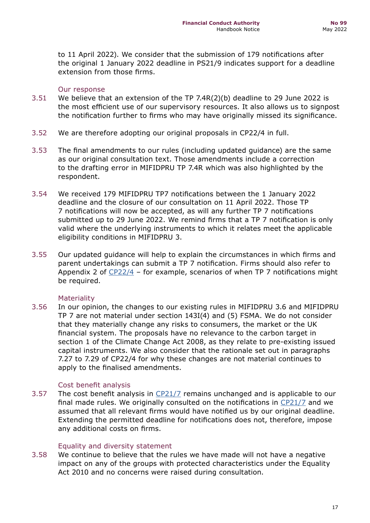to 11 April 2022). We consider that the submission of 179 notifications after the original 1 January 2022 deadline in PS21/9 indicates support for a deadline extension from those firms.

#### Our response

- 3.51 We believe that an extension of the TP 7.4R(2)(b) deadline to 29 June 2022 is the most efficient use of our supervisory resources. It also allows us to signpost the notification further to firms who may have originally missed its significance.
- 3.52 We are therefore adopting our original proposals in CP22/4 in full.
- 3.53 The final amendments to our rules (including updated guidance) are the same as our original consultation text. Those amendments include a correction to the drafting error in MIFIDPRU TP 7.4R which was also highlighted by the respondent.
- 3.54 We received 179 MIFIDPRU TP7 notifications between the 1 January 2022 deadline and the closure of our consultation on 11 April 2022. Those TP 7 notifications will now be accepted, as will any further TP 7 notifications submitted up to 29 June 2022. We remind firms that a TP 7 notification is only valid where the underlying instruments to which it relates meet the applicable eligibility conditions in MIFIDPRU 3.
- 3.55 Our updated guidance will help to explain the circumstances in which firms and parent undertakings can submit a TP 7 notification. Firms should also refer to Appendix 2 of  $CP22/4$  – for example, scenarios of when TP 7 notifications might be required.

#### **Materiality**

3.56 In our opinion, the changes to our existing rules in MIFIDPRU 3.6 and MIFIDPRU TP 7 are not material under section 143I(4) and (5) FSMA. We do not consider that they materially change any risks to consumers, the market or the UK financial system. The proposals have no relevance to the carbon target in section 1 of the Climate Change Act 2008, as they relate to pre-existing issued capital instruments. We also consider that the rationale set out in paragraphs 7.27 to 7.29 of CP22/4 for why these changes are not material continues to apply to the finalised amendments.

#### Cost benefit analysis

3.57 The cost benefit analysis in [CP21/7](https://www.fca.org.uk/publication/consultation/cp21-7.pdf) remains unchanged and is applicable to our final made rules. We originally consulted on the notifications in [CP21/7](https://www.fca.org.uk/publication/consultation/cp21-7.pdf) and we assumed that all relevant firms would have notified us by our original deadline. Extending the permitted deadline for notifications does not, therefore, impose any additional costs on firms.

#### Equality and diversity statement

3.58 We continue to believe that the rules we have made will not have a negative impact on any of the groups with protected characteristics under the Equality Act 2010 and no concerns were raised during consultation.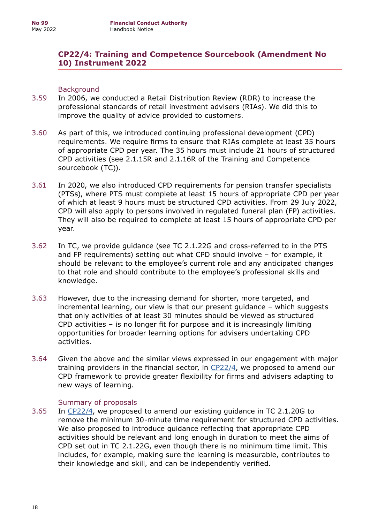## **CP22/4: Training and Competence Sourcebook (Amendment No 10) Instrument 2022**

#### Background

- 3.59 In 2006, we conducted a Retail Distribution Review (RDR) to increase the professional standards of retail investment advisers (RIAs). We did this to improve the quality of advice provided to customers.
- 3.60 As part of this, we introduced continuing professional development (CPD) requirements. We require firms to ensure that RIAs complete at least 35 hours of appropriate CPD per year. The 35 hours must include 21 hours of structured CPD activities (see 2.1.15R and 2.1.16R of the Training and Competence sourcebook (TC)).
- 3.61 In 2020, we also introduced CPD requirements for pension transfer specialists (PTSs), where PTS must complete at least 15 hours of appropriate CPD per year of which at least 9 hours must be structured CPD activities. From 29 July 2022, CPD will also apply to persons involved in regulated funeral plan (FP) activities. They will also be required to complete at least 15 hours of appropriate CPD per year.
- 3.62 In TC, we provide guidance (see TC 2.1.22G and cross-referred to in the PTS and FP requirements) setting out what CPD should involve – for example, it should be relevant to the employee's current role and any anticipated changes to that role and should contribute to the employee's professional skills and knowledge.
- 3.63 However, due to the increasing demand for shorter, more targeted, and incremental learning, our view is that our present guidance – which suggests that only activities of at least 30 minutes should be viewed as structured CPD activities – is no longer fit for purpose and it is increasingly limiting opportunities for broader learning options for advisers undertaking CPD activities.
- 3.64 Given the above and the similar views expressed in our engagement with major training providers in the financial sector, in  $CP22/4$ , we proposed to amend our CPD framework to provide greater flexibility for firms and advisers adapting to new ways of learning.

#### Summary of proposals

3.65 In [CP22/4,](https://www.fca.org.uk/publication/consultation/cp22-4.pdf) we proposed to amend our existing guidance in TC 2.1.20G to remove the minimum 30-minute time requirement for structured CPD activities. We also proposed to introduce guidance reflecting that appropriate CPD activities should be relevant and long enough in duration to meet the aims of CPD set out in TC 2.1.22G, even though there is no minimum time limit. This includes, for example, making sure the learning is measurable, contributes to their knowledge and skill, and can be independently verified.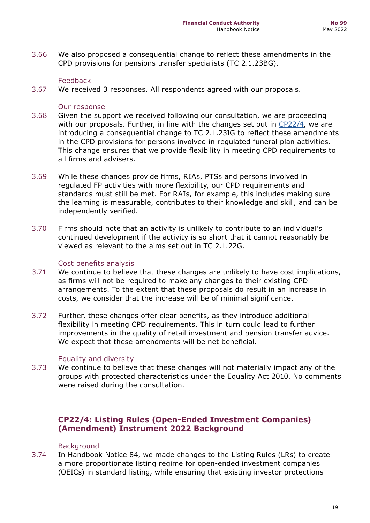3.66 We also proposed a consequential change to reflect these amendments in the CPD provisions for pensions transfer specialists (TC 2.1.23BG).

#### Feedback

3.67 We received 3 responses. All respondents agreed with our proposals.

#### Our response

- 3.68 Given the support we received following our consultation, we are proceeding with our proposals. Further, in line with the changes set out in  $CP22/4$ , we are introducing a consequential change to TC 2.1.23IG to reflect these amendments in the CPD provisions for persons involved in regulated funeral plan activities. This change ensures that we provide flexibility in meeting CPD requirements to all firms and advisers.
- 3.69 While these changes provide firms, RIAs, PTSs and persons involved in regulated FP activities with more flexibility, our CPD requirements and standards must still be met. For RAIs, for example, this includes making sure the learning is measurable, contributes to their knowledge and skill, and can be independently verified.
- 3.70 Firms should note that an activity is unlikely to contribute to an individual's continued development if the activity is so short that it cannot reasonably be viewed as relevant to the aims set out in TC 2.1.22G.

#### Cost benefits analysis

- 3.71 We continue to believe that these changes are unlikely to have cost implications, as firms will not be required to make any changes to their existing CPD arrangements. To the extent that these proposals do result in an increase in costs, we consider that the increase will be of minimal significance.
- 3.72 Further, these changes offer clear benefits, as they introduce additional flexibility in meeting CPD requirements. This in turn could lead to further improvements in the quality of retail investment and pension transfer advice. We expect that these amendments will be net beneficial.

#### Equality and diversity

3.73 We continue to believe that these changes will not materially impact any of the groups with protected characteristics under the Equality Act 2010. No comments were raised during the consultation.

## **CP22/4: Listing Rules (Open-Ended Investment Companies) (Amendment) Instrument 2022 Background**

#### **Background**

3.74 In Handbook Notice 84, we made changes to the Listing Rules (LRs) to create a more proportionate listing regime for open-ended investment companies (OEICs) in standard listing, while ensuring that existing investor protections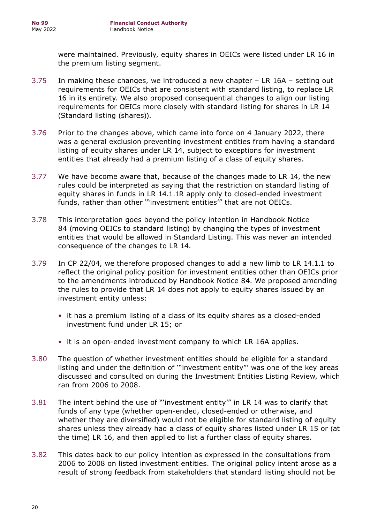were maintained. Previously, equity shares in OEICs were listed under LR 16 in the premium listing segment.

- 3.75 In making these changes, we introduced a new chapter LR 16A setting out requirements for OEICs that are consistent with standard listing, to replace LR 16 in its entirety. We also proposed consequential changes to align our listing requirements for OEICs more closely with standard listing for shares in LR 14 (Standard listing (shares)).
- 3.76 Prior to the changes above, which came into force on 4 January 2022, there was a general exclusion preventing investment entities from having a standard listing of equity shares under LR 14, subject to exceptions for investment entities that already had a premium listing of a class of equity shares.
- 3.77 We have become aware that, because of the changes made to LR 14, the new rules could be interpreted as saying that the restriction on standard listing of equity shares in funds in LR 14.1.1R apply only to closed-ended investment funds, rather than other '"investment entities'" that are not OEICs.
- 3.78 This interpretation goes beyond the policy intention in Handbook Notice 84 (moving OEICs to standard listing) by changing the types of investment entities that would be allowed in Standard Listing. This was never an intended consequence of the changes to LR 14.
- 3.79 In CP 22/04, we therefore proposed changes to add a new limb to LR 14.1.1 to reflect the original policy position for investment entities other than OEICs prior to the amendments introduced by Handbook Notice 84. We proposed amending the rules to provide that LR 14 does not apply to equity shares issued by an investment entity unless:
	- it has a premium listing of a class of its equity shares as a closed-ended investment fund under LR 15; or
	- it is an open-ended investment company to which LR 16A applies.
- 3.80 The question of whether investment entities should be eligible for a standard listing and under the definition of '"investment entity"' was one of the key areas discussed and consulted on during the Investment Entities Listing Review, which ran from 2006 to 2008.
- 3.81 The intent behind the use of "'investment entity'" in LR 14 was to clarify that funds of any type (whether open-ended, closed-ended or otherwise, and whether they are diversified) would not be eligible for standard listing of equity shares unless they already had a class of equity shares listed under LR 15 or (at the time) LR 16, and then applied to list a further class of equity shares.
- 3.82 This dates back to our policy intention as expressed in the consultations from 2006 to 2008 on listed investment entities. The original policy intent arose as a result of strong feedback from stakeholders that standard listing should not be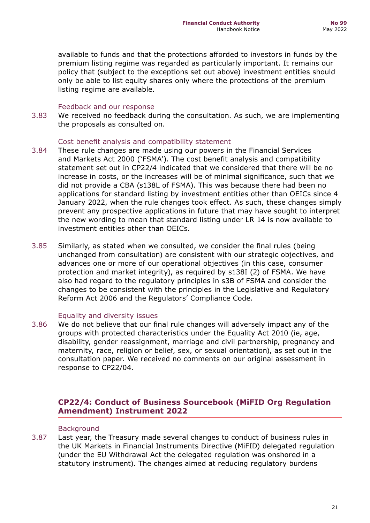available to funds and that the protections afforded to investors in funds by the premium listing regime was regarded as particularly important. It remains our policy that (subject to the exceptions set out above) investment entities should only be able to list equity shares only where the protections of the premium listing regime are available.

#### Feedback and our response

3.83 We received no feedback during the consultation. As such, we are implementing the proposals as consulted on.

#### Cost benefit analysis and compatibility statement

- 3.84 These rule changes are made using our powers in the Financial Services and Markets Act 2000 ('FSMA'). The cost benefit analysis and compatibility statement set out in CP22/4 indicated that we considered that there will be no increase in costs, or the increases will be of minimal significance, such that we did not provide a CBA (s138L of FSMA). This was because there had been no applications for standard listing by investment entities other than OEICs since 4 January 2022, when the rule changes took effect. As such, these changes simply prevent any prospective applications in future that may have sought to interpret the new wording to mean that standard listing under LR 14 is now available to investment entities other than OEICs.
- 3.85 Similarly, as stated when we consulted, we consider the final rules (being unchanged from consultation) are consistent with our strategic objectives, and advances one or more of our operational objectives (in this case, consumer protection and market integrity), as required by s138I (2) of FSMA. We have also had regard to the regulatory principles in s3B of FSMA and consider the changes to be consistent with the principles in the Legislative and Regulatory Reform Act 2006 and the Regulators' Compliance Code.

#### Equality and diversity issues

3.86 We do not believe that our final rule changes will adversely impact any of the groups with protected characteristics under the Equality Act 2010 (ie, age, disability, gender reassignment, marriage and civil partnership, pregnancy and maternity, race, religion or belief, sex, or sexual orientation), as set out in the consultation paper. We received no comments on our original assessment in response to CP22/04.

## **CP22/4: Conduct of Business Sourcebook (MiFID Org Regulation Amendment) Instrument 2022**

#### Background

3.87 Last year, the Treasury made several changes to conduct of business rules in the UK Markets in Financial Instruments Directive (MiFID) delegated regulation (under the EU Withdrawal Act the delegated regulation was onshored in a statutory instrument). The changes aimed at reducing regulatory burdens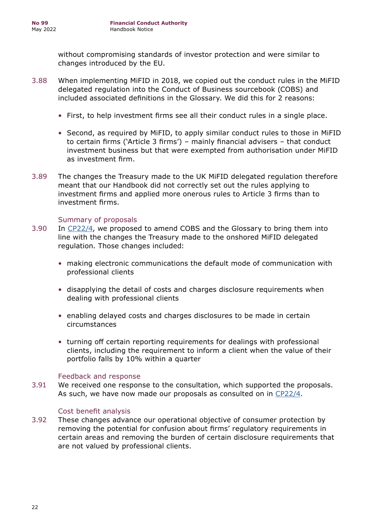without compromising standards of investor protection and were similar to changes introduced by the EU.

- 3.88 When implementing MiFID in 2018, we copied out the conduct rules in the MiFID delegated regulation into the Conduct of Business sourcebook (COBS) and included associated definitions in the Glossary. We did this for 2 reasons:
	- First, to help investment firms see all their conduct rules in a single place.
	- Second, as required by MiFID, to apply similar conduct rules to those in MiFID to certain firms ('Article 3 firms') – mainly financial advisers – that conduct investment business but that were exempted from authorisation under MiFID as investment firm.
- 3.89 The changes the Treasury made to the UK MiFID delegated regulation therefore meant that our Handbook did not correctly set out the rules applying to investment firms and applied more onerous rules to Article 3 firms than to investment firms.

#### Summary of proposals

- 3.90 In [CP22/4,](https://www.fca.org.uk/publication/consultation/cp22-4.pdf) we proposed to amend COBS and the Glossary to bring them into line with the changes the Treasury made to the onshored MiFID delegated regulation. Those changes included:
	- making electronic communications the default mode of communication with professional clients
	- disapplying the detail of costs and charges disclosure requirements when dealing with professional clients
	- enabling delayed costs and charges disclosures to be made in certain circumstances
	- turning off certain reporting requirements for dealings with professional clients, including the requirement to inform a client when the value of their portfolio falls by 10% within a quarter

#### Feedback and response

3.91 We received one response to the consultation, which supported the proposals. As such, we have now made our proposals as consulted on in [CP22/4](https://www.fca.org.uk/publication/consultation/cp22-4.pdf).

#### Cost benefit analysis

3.92 These changes advance our operational objective of consumer protection by removing the potential for confusion about firms' regulatory requirements in certain areas and removing the burden of certain disclosure requirements that are not valued by professional clients.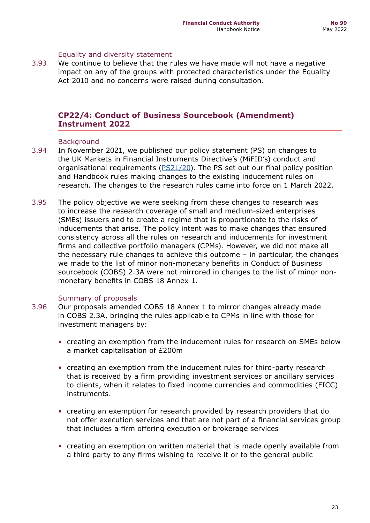#### Equality and diversity statement

3.93 We continue to believe that the rules we have made will not have a negative impact on any of the groups with protected characteristics under the Equality Act 2010 and no concerns were raised during consultation.

## **CP22/4: Conduct of Business Sourcebook (Amendment) Instrument 2022**

#### **Background**

- 3.94 In November 2021, we published our policy statement (PS) on changes to the UK Markets in Financial Instruments Directive's (MiFID's) conduct and organisational requirements [\(PS21/20](https://www.fca.org.uk/publication/policy/ps21-20.pdf)). The PS set out our final policy position and Handbook rules making changes to the existing inducement rules on research. The changes to the research rules came into force on 1 March 2022.
- 3.95 The policy objective we were seeking from these changes to research was to increase the research coverage of small and medium-sized enterprises (SMEs) issuers and to create a regime that is proportionate to the risks of inducements that arise. The policy intent was to make changes that ensured consistency across all the rules on research and inducements for investment firms and collective portfolio managers (CPMs). However, we did not make all the necessary rule changes to achieve this outcome – in particular, the changes we made to the list of minor non-monetary benefits in Conduct of Business sourcebook (COBS) 2.3A were not mirrored in changes to the list of minor nonmonetary benefits in COBS 18 Annex 1.

#### Summary of proposals

- 3.96 Our proposals amended COBS 18 Annex 1 to mirror changes already made in COBS 2.3A, bringing the rules applicable to CPMs in line with those for investment managers by:
	- creating an exemption from the inducement rules for research on SMEs below a market capitalisation of £200m
	- creating an exemption from the inducement rules for third-party research that is received by a firm providing investment services or ancillary services to clients, when it relates to fixed income currencies and commodities (FICC) instruments.
	- creating an exemption for research provided by research providers that do not offer execution services and that are not part of a financial services group that includes a firm offering execution or brokerage services
	- creating an exemption on written material that is made openly available from a third party to any firms wishing to receive it or to the general public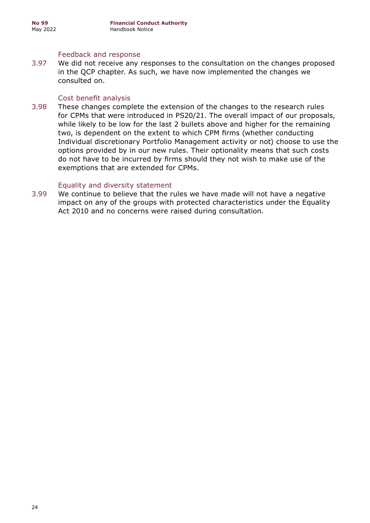#### Feedback and response

3.97 We did not receive any responses to the consultation on the changes proposed in the QCP chapter. As such, we have now implemented the changes we consulted on.

#### Cost benefit analysis

3.98 These changes complete the extension of the changes to the research rules for CPMs that were introduced in PS20/21. The overall impact of our proposals, while likely to be low for the last 2 bullets above and higher for the remaining two, is dependent on the extent to which CPM firms (whether conducting Individual discretionary Portfolio Management activity or not) choose to use the options provided by in our new rules. Their optionality means that such costs do not have to be incurred by firms should they not wish to make use of the exemptions that are extended for CPMs.

#### Equality and diversity statement

3.99 We continue to believe that the rules we have made will not have a negative impact on any of the groups with protected characteristics under the Equality Act 2010 and no concerns were raised during consultation.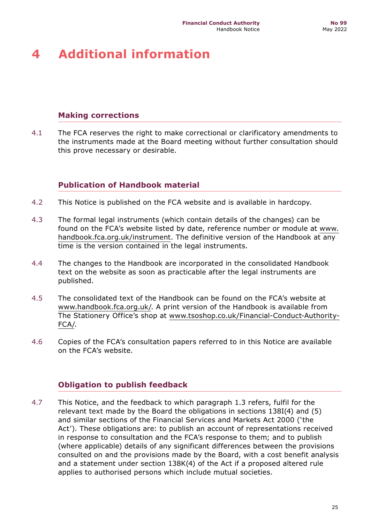## <span id="page-24-0"></span>**4 Additional information**

## **Making corrections**

4.1 The FCA reserves the right to make correctional or clarificatory amendments to the instruments made at the Board meeting without further consultation should this prove necessary or desirable.

## **Publication of Handbook material**

- 4.2 This Notice is published on the FCA website and is available in hardcopy.
- 4.3 The formal legal instruments (which contain details of the changes) can be found on the FCA's website listed by date, reference number or module at [www.](https://www.handbook.fca.org.uk/instrument) [handbook.fca.org.uk/instrument.](https://www.handbook.fca.org.uk/instrument) The definitive version of the Handbook at any time is the version contained in the legal instruments.
- 4.4 The changes to the Handbook are incorporated in the consolidated Handbook text on the website as soon as practicable after the legal instruments are published.
- 4.5 The consolidated text of the Handbook can be found on the FCA's website at www.handbook.fca.org.uk/. A print version of the Handbook is available from The Stationery Office's shop at [www.tsoshop.co.uk/Financial-Conduct-Authority-](https://www.tsoshop.co.uk/Financial-Conduct-Authority-FCA/)[FCA/.](https://www.tsoshop.co.uk/Financial-Conduct-Authority-FCA/)
- 4.6 Copies of the FCA's consultation papers referred to in this Notice are available on the FCA's website.

## **Obligation to publish feedback**

4.7 This Notice, and the feedback to which paragraph 1.3 refers, fulfil for the relevant text made by the Board the obligations in sections 138I(4) and (5) and similar sections of the Financial Services and Markets Act 2000 ('the Act'). These obligations are: to publish an account of representations received in response to consultation and the FCA's response to them; and to publish (where applicable) details of any significant differences between the provisions consulted on and the provisions made by the Board, with a cost benefit analysis and a statement under section 138K(4) of the Act if a proposed altered rule applies to authorised persons which include mutual societies.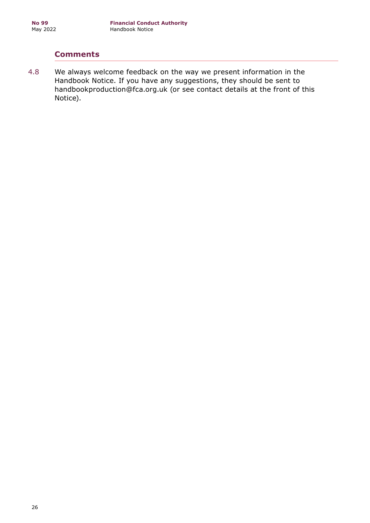## **Comments**

4.8 We always welcome feedback on the way we present information in the Handbook Notice. If you have any suggestions, they should be sent to handbookproduction@fca.org.uk (or see contact details at the front of this Notice).